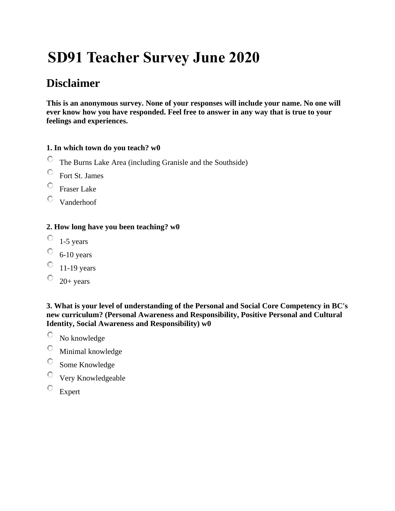# **SD91 Teacher Survey June 2020**

# **Disclaimer**

**This is an anonymous survey. None of your responses will include your name. No one will ever know how you have responded. Feel free to answer in any way that is true to your feelings and experiences.**

# **1. In which town do you teach? w0**

- О The Burns Lake Area (including Granisle and the Southside)
- O Fort St. James
- О Fraser Lake
- О. Vanderhoof

# **2. How long have you been teaching? w0**

- $\circ$  1-5 years
- O 6-10 years
- $\degree$  11-19 years
- $\degree$  20+ years

**3. What is your level of understanding of the Personal and Social Core Competency in BC's new curriculum? (Personal Awareness and Responsibility, Positive Personal and Cultural Identity, Social Awareness and Responsibility) w0**

- O No knowledge
- O Minimal knowledge
- О Some Knowledge
- O Very Knowledgeable
- $\mathbf C$ Expert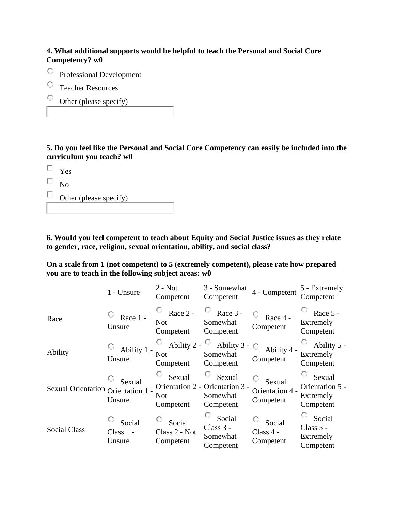#### **4. What additional supports would be helpful to teach the Personal and Social Core Competency? w0**

- O Professional Development
- O. Teacher Resources
- Other (please specify)

**5. Do you feel like the Personal and Social Core Competency can easily be included into the curriculum you teach? w0**

 $\Box$ Yes

П. No

| Other (please specify) |
|------------------------|
|                        |

**6. Would you feel competent to teach about Equity and Social Justice issues as they relate to gender, race, religion, sexual orientation, ability, and social class?**

**On a scale from 1 (not competent) to 5 (extremely competent), please rate how prepared you are to teach in the following subject areas: w0**

|                                    | 1 - Unsure                      | $2 - Not$<br>Competent               | 3 - Somewhat<br>Competent                                          | 4 - Competent                          | 5 - Extremely<br>Competent                          |
|------------------------------------|---------------------------------|--------------------------------------|--------------------------------------------------------------------|----------------------------------------|-----------------------------------------------------|
| Race                               | Race 1 -<br>Unsure              | Race 2 -<br><b>Not</b><br>Competent  | U<br>Race 3 -<br>Somewhat<br>Competent                             | Race 4 -<br>Competent                  | Race 5 -<br>Extremely<br>Competent                  |
| Ability                            | Ability 1 -<br>Unsure           | Ability 2 -<br>Not<br>Competent      | Ability $3 - \bigcirc$<br>Somewhat<br>Competent                    | Ability 4 -<br>Competent               | Ability 5 -<br>Extremely<br>Competent               |
| Sexual Orientation Orientation 1 - | Sexual<br>Unsure                | Sexual<br><b>Not</b><br>Competent    | Sexual<br>Orientation 2 - Orientation 3 -<br>Somewhat<br>Competent | Sexual<br>Orientation 4 -<br>Competent | Sexual<br>Orientation 5 -<br>Extremely<br>Competent |
| <b>Social Class</b>                | Social<br>$Class 1 -$<br>Unsure | Social<br>Class 2 - Not<br>Competent | Social<br>Class $3 -$<br>Somewhat<br>Competent                     | Social<br>Class 4 -<br>Competent       | Social<br>Class $5 -$<br>Extremely<br>Competent     |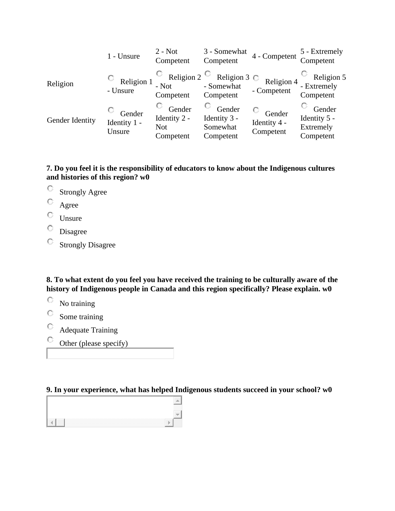|                 | 1 - Unsure                       | $2 - Not$<br>Competent                            | 3 - Somewhat<br>Competent                       | 4 - Competent                                                   | 5 - Extremely<br>Competent                       |
|-----------------|----------------------------------|---------------------------------------------------|-------------------------------------------------|-----------------------------------------------------------------|--------------------------------------------------|
| Religion        | $\circ$ Religion 1<br>- Unsure   | - Not<br>Competent                                | - Somewhat<br>Competent                         | Religion 2 $\circ$ Religion 3 $\circ$ Religion 4<br>- Competent | Religion 5<br>- Extremely<br>Competent           |
| Gender Identity | Gender<br>Identity 1 -<br>Unsure | Gender<br>Identity 2 -<br><b>Not</b><br>Competent | Gender<br>Identity 3 -<br>Somewhat<br>Competent | Gender<br>Identity 4 -<br>Competent                             | Gender<br>Identity 5 -<br>Extremely<br>Competent |

### **7. Do you feel it is the responsibility of educators to know about the Indigenous cultures and histories of this region? w0**

- Strongly Agree
- O Agree
- $\circ$  Unsure
- $\overline{\mathbb{O}}$  Disagree
- $\mathbf C$ Strongly Disagree

**8. To what extent do you feel you have received the training to be culturally aware of the history of Indigenous people in Canada and this region specifically? Please explain. w0**

- $\circ$ No training
- $\mathbf C$ Some training
- $\circlearrowright$ Adequate Training
- Other (please specify)

# **9. In your experience, what has helped Indigenous students succeed in your school? w0**